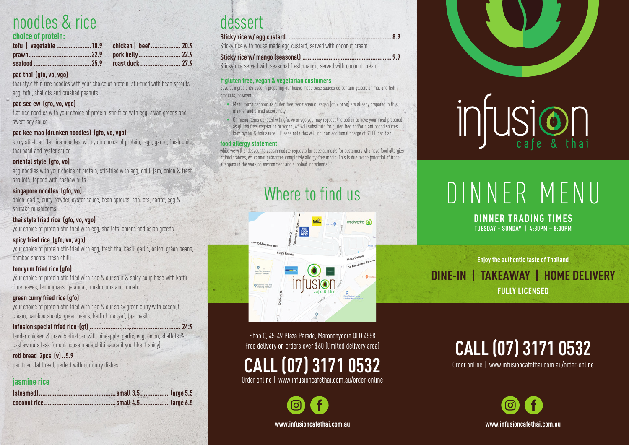## noodles & rice

#### **choice of protein:**

#### **pad thai (gfo, vo, vgo)**

thai style thin rice noodles with your choice of protein, stir-fried with bean sprouts, egg, tofu, shallots and crushed peanuts

#### **pad see ew (gfo, vo, vgo)**

flat rice noodles with your choice of protein, stir-fried with egg, asian greens and sweet soy sauce

#### **pad kee mao (drunken noodles) (gfo, vo, vgo)**

spicy stir-fried flat rice noodles, with your choice of protein, egg, garlic, fresh chilli, thai basil and oyster sauce

#### **oriental style (gfo, vo)**

egg noodles with your choice of protein, stir-fried with egg, chilli jam, onion & fresh shallots, topped with cashew nuts

#### **singapore noodles (gfo, vo)**

onion, garlic, curry powder, oyster sauce, bean sprouts, shallots, carrot, egg & shiitake mushrooms

#### **thai style fried rice (gfo, vo, vgo)**

your choice of protein stir-fried with egg, shallots, onions and asian greens

#### **spicy fried rice (gfo, vo, vgo)**

your choice of protein stir-fried with egg, fresh thai basil, garlic, onion, green beans, bamboo shoots, fresh chilli

#### **tom yum fried rice (gfo)**

your choice of protein stir-fried with rice & our sour & spicy soup base with kaffir lime leaves, lemongrass, galangal, mushrooms and tomato

#### **green curry fried rice (gfo)**

your choice of protein stir-fried with rice & our spicy green curry with coconut cream, bamboo shoots, green beans, kaffir lime leaf, thai basil

#### **infusion special fried rice (gf) .................................................... 24.9**

tender chicken & prawns stir-fried with pineapple, garlic, egg, onion, shallots & cashew nuts (ask for our house made chilli sauce if you like it spicy)

#### **roti bread 2pcs (v)..5.9**

pan fried flat bread, perfect with our curry dishes

#### **jasmine rice**

### dessert

#### **Sticky rice w/ egg custard ........................................................... 8.9**

Sticky rice with house made egg custard, served with coconut cream

#### **Sticky rice w/ mango (seasonal) ................................................... 9.9**

Sticky rice served with seasonal fresh mango, served with coconut cream

#### **† gluten free, vegan & vegetarian customers**

Several ingredients used in preparing our house made base sauces do contain gluten, animal and fish products, however:

- Menu items denoted as gluten free, vegetarian or vegan (gf, v or vg) are already prepared in this manner and priced accordingly.
- On menu items denoted with gfo, vo or vgo you may request the option to have your meal prepared
- as gluten free, vegetarian or vegan; we will substitute for gluten free and/or plant based sauces
- (soy, oyster & fish sauce). Please note this will incur an additional charge of \$1.00 per dish.

#### **food allergy statement**

while we will endeavour to accommodate requests for special meals for customers who have food allergies or intolerances, we cannot guarantee completely allergy-free meals. This is due to the potential of trace allergens in the working environment and supplied ingredients.

## Where to find us

woolworths Co  $-70$  Marc

Shop C, 45-49 Plaza Parade, Maroochydore QLD 4558 Free delivery on orders over \$60 (limited delivery area)

## **CALL (07) 3171 0532**

Order online | www.infusioncafethai.com.au/order-online

**www.infusioncafethai.com.au**



# intusion

## DINNER MENU

#### **DINNER TRADING TIMES TUESDAY – SUNDAY | 4:30PM – 8:30PM**

**Enjoy the authentic taste of Thailand DINE-IN | TAKEAWAY | HOME DELIVERY FULLY LICENSED**

## **CALL (07) 3171 0532**

Order online | www.infusioncafethai.com.au/order-online